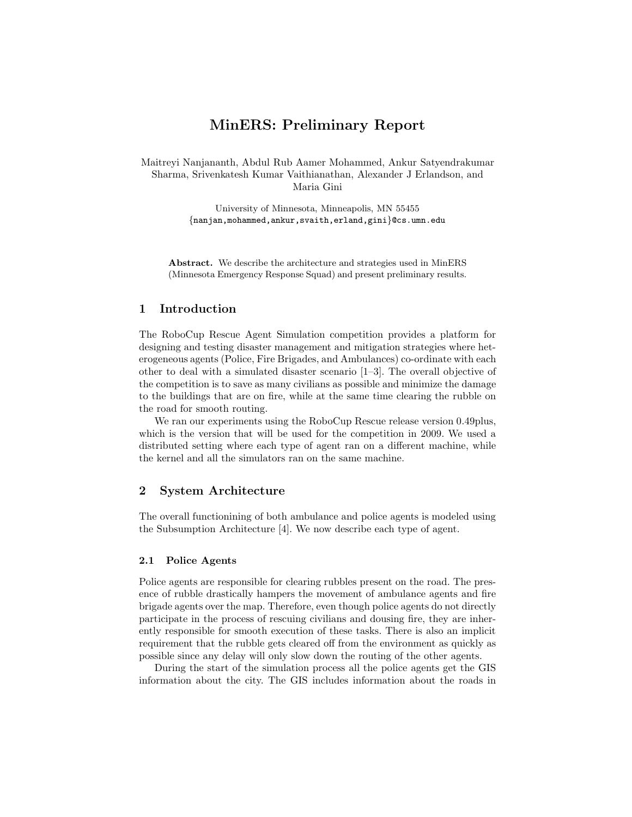# MinERS: Preliminary Report

Maitreyi Nanjananth, Abdul Rub Aamer Mohammed, Ankur Satyendrakumar Sharma, Srivenkatesh Kumar Vaithianathan, Alexander J Erlandson, and Maria Gini

> University of Minnesota, Minneapolis, MN 55455 {nanjan,mohammed,ankur,svaith,erland,gini}@cs.umn.edu

Abstract. We describe the architecture and strategies used in MinERS (Minnesota Emergency Response Squad) and present preliminary results.

# 1 Introduction

The RoboCup Rescue Agent Simulation competition provides a platform for designing and testing disaster management and mitigation strategies where heterogeneous agents (Police, Fire Brigades, and Ambulances) co-ordinate with each other to deal with a simulated disaster scenario  $[1-3]$ . The overall objective of the competition is to save as many civilians as possible and minimize the damage to the buildings that are on fire, while at the same time clearing the rubble on the road for smooth routing.

We ran our experiments using the RoboCup Rescue release version 0.49plus, which is the version that will be used for the competition in 2009. We used a distributed setting where each type of agent ran on a different machine, while the kernel and all the simulators ran on the same machine.

# 2 System Architecture

The overall functionining of both ambulance and police agents is modeled using the Subsumption Architecture [4]. We now describe each type of agent.

#### 2.1 Police Agents

Police agents are responsible for clearing rubbles present on the road. The presence of rubble drastically hampers the movement of ambulance agents and fire brigade agents over the map. Therefore, even though police agents do not directly participate in the process of rescuing civilians and dousing fire, they are inherently responsible for smooth execution of these tasks. There is also an implicit requirement that the rubble gets cleared off from the environment as quickly as possible since any delay will only slow down the routing of the other agents.

During the start of the simulation process all the police agents get the GIS information about the city. The GIS includes information about the roads in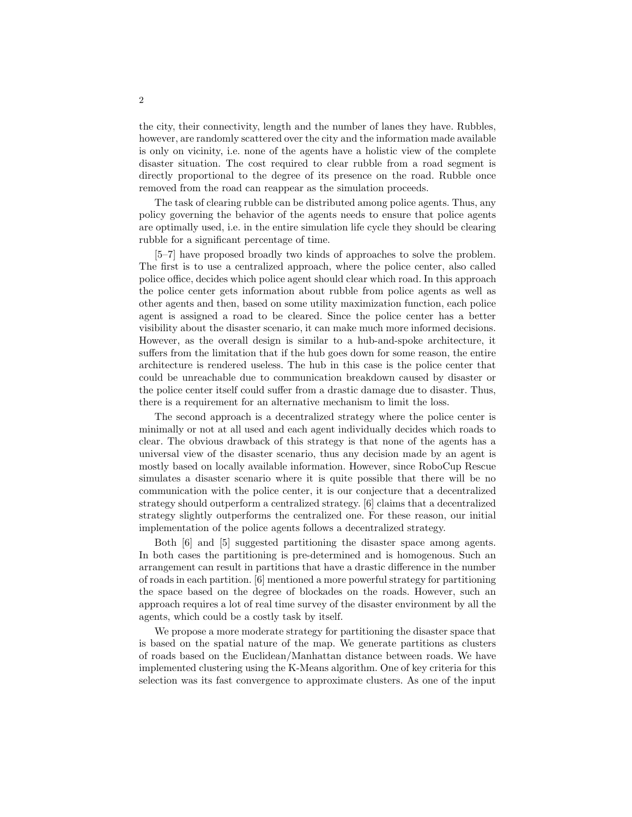the city, their connectivity, length and the number of lanes they have. Rubbles, however, are randomly scattered over the city and the information made available is only on vicinity, i.e. none of the agents have a holistic view of the complete disaster situation. The cost required to clear rubble from a road segment is directly proportional to the degree of its presence on the road. Rubble once removed from the road can reappear as the simulation proceeds.

The task of clearing rubble can be distributed among police agents. Thus, any policy governing the behavior of the agents needs to ensure that police agents are optimally used, i.e. in the entire simulation life cycle they should be clearing rubble for a significant percentage of time.

[5–7] have proposed broadly two kinds of approaches to solve the problem. The first is to use a centralized approach, where the police center, also called police office, decides which police agent should clear which road. In this approach the police center gets information about rubble from police agents as well as other agents and then, based on some utility maximization function, each police agent is assigned a road to be cleared. Since the police center has a better visibility about the disaster scenario, it can make much more informed decisions. However, as the overall design is similar to a hub-and-spoke architecture, it suffers from the limitation that if the hub goes down for some reason, the entire architecture is rendered useless. The hub in this case is the police center that could be unreachable due to communication breakdown caused by disaster or the police center itself could suffer from a drastic damage due to disaster. Thus, there is a requirement for an alternative mechanism to limit the loss.

The second approach is a decentralized strategy where the police center is minimally or not at all used and each agent individually decides which roads to clear. The obvious drawback of this strategy is that none of the agents has a universal view of the disaster scenario, thus any decision made by an agent is mostly based on locally available information. However, since RoboCup Rescue simulates a disaster scenario where it is quite possible that there will be no communication with the police center, it is our conjecture that a decentralized strategy should outperform a centralized strategy. [6] claims that a decentralized strategy slightly outperforms the centralized one. For these reason, our initial implementation of the police agents follows a decentralized strategy.

Both [6] and [5] suggested partitioning the disaster space among agents. In both cases the partitioning is pre-determined and is homogenous. Such an arrangement can result in partitions that have a drastic difference in the number of roads in each partition. [6] mentioned a more powerful strategy for partitioning the space based on the degree of blockades on the roads. However, such an approach requires a lot of real time survey of the disaster environment by all the agents, which could be a costly task by itself.

We propose a more moderate strategy for partitioning the disaster space that is based on the spatial nature of the map. We generate partitions as clusters of roads based on the Euclidean/Manhattan distance between roads. We have implemented clustering using the K-Means algorithm. One of key criteria for this selection was its fast convergence to approximate clusters. As one of the input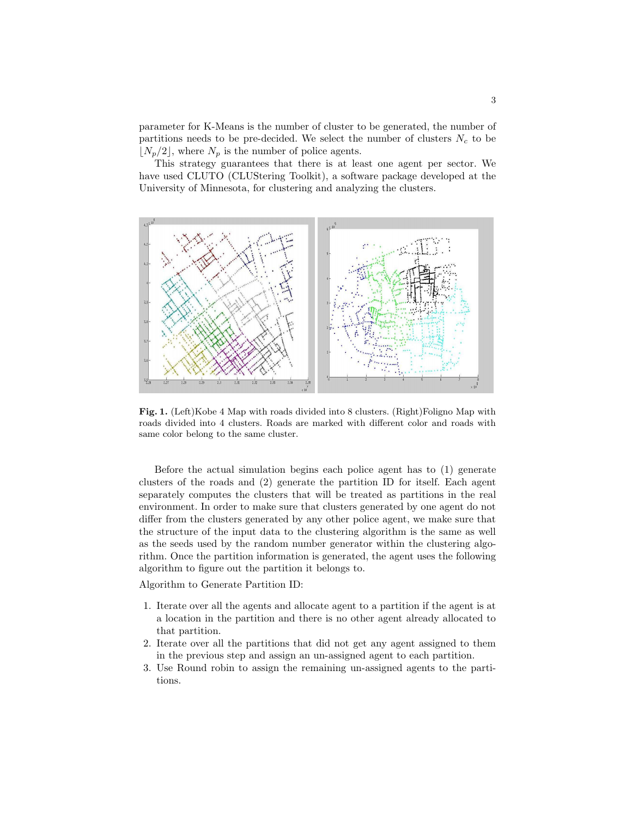parameter for K-Means is the number of cluster to be generated, the number of partitions needs to be pre-decided. We select the number of clusters  $N_c$  to be  $\lfloor N_p/2 \rfloor$ , where  $N_p$  is the number of police agents.

This strategy guarantees that there is at least one agent per sector. We have used CLUTO (CLUStering Toolkit), a software package developed at the University of Minnesota, for clustering and analyzing the clusters.



Fig. 1. (Left)Kobe 4 Map with roads divided into 8 clusters. (Right)Foligno Map with roads divided into 4 clusters. Roads are marked with different color and roads with same color belong to the same cluster.

Before the actual simulation begins each police agent has to (1) generate clusters of the roads and (2) generate the partition ID for itself. Each agent separately computes the clusters that will be treated as partitions in the real environment. In order to make sure that clusters generated by one agent do not differ from the clusters generated by any other police agent, we make sure that the structure of the input data to the clustering algorithm is the same as well as the seeds used by the random number generator within the clustering algorithm. Once the partition information is generated, the agent uses the following algorithm to figure out the partition it belongs to.

Algorithm to Generate Partition ID:

- 1. Iterate over all the agents and allocate agent to a partition if the agent is at a location in the partition and there is no other agent already allocated to that partition.
- 2. Iterate over all the partitions that did not get any agent assigned to them in the previous step and assign an un-assigned agent to each partition.
- 3. Use Round robin to assign the remaining un-assigned agents to the partitions.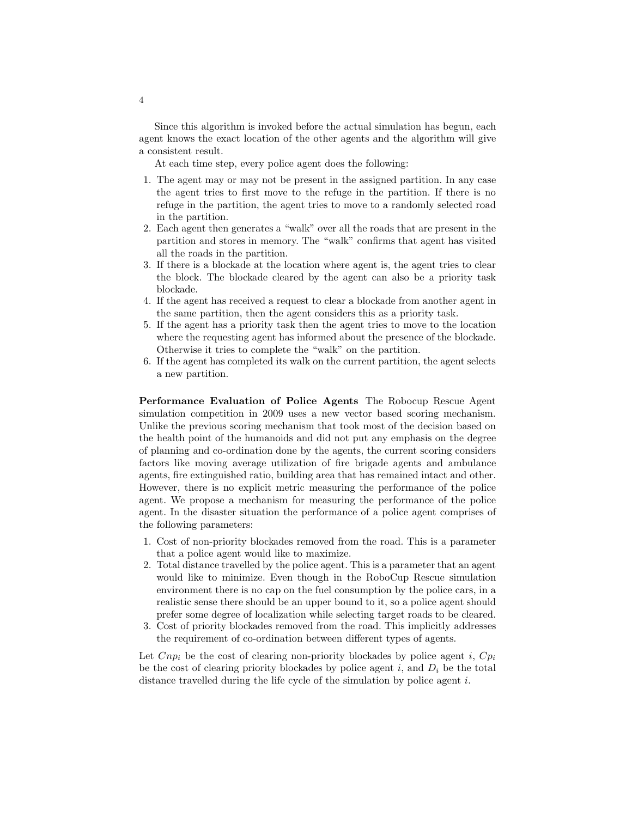Since this algorithm is invoked before the actual simulation has begun, each agent knows the exact location of the other agents and the algorithm will give a consistent result.

At each time step, every police agent does the following:

- 1. The agent may or may not be present in the assigned partition. In any case the agent tries to first move to the refuge in the partition. If there is no refuge in the partition, the agent tries to move to a randomly selected road in the partition.
- 2. Each agent then generates a "walk" over all the roads that are present in the partition and stores in memory. The "walk" confirms that agent has visited all the roads in the partition.
- 3. If there is a blockade at the location where agent is, the agent tries to clear the block. The blockade cleared by the agent can also be a priority task blockade.
- 4. If the agent has received a request to clear a blockade from another agent in the same partition, then the agent considers this as a priority task.
- 5. If the agent has a priority task then the agent tries to move to the location where the requesting agent has informed about the presence of the blockade. Otherwise it tries to complete the "walk" on the partition.
- 6. If the agent has completed its walk on the current partition, the agent selects a new partition.

Performance Evaluation of Police Agents The Robocup Rescue Agent simulation competition in 2009 uses a new vector based scoring mechanism. Unlike the previous scoring mechanism that took most of the decision based on the health point of the humanoids and did not put any emphasis on the degree of planning and co-ordination done by the agents, the current scoring considers factors like moving average utilization of fire brigade agents and ambulance agents, fire extinguished ratio, building area that has remained intact and other. However, there is no explicit metric measuring the performance of the police agent. We propose a mechanism for measuring the performance of the police agent. In the disaster situation the performance of a police agent comprises of the following parameters:

- 1. Cost of non-priority blockades removed from the road. This is a parameter that a police agent would like to maximize.
- 2. Total distance travelled by the police agent. This is a parameter that an agent would like to minimize. Even though in the RoboCup Rescue simulation environment there is no cap on the fuel consumption by the police cars, in a realistic sense there should be an upper bound to it, so a police agent should prefer some degree of localization while selecting target roads to be cleared.
- 3. Cost of priority blockades removed from the road. This implicitly addresses the requirement of co-ordination between different types of agents.

Let  $Cnp_i$  be the cost of clearing non-priority blockades by police agent i,  $Cp_i$ be the cost of clearing priority blockades by police agent i, and  $D_i$  be the total distance travelled during the life cycle of the simulation by police agent i.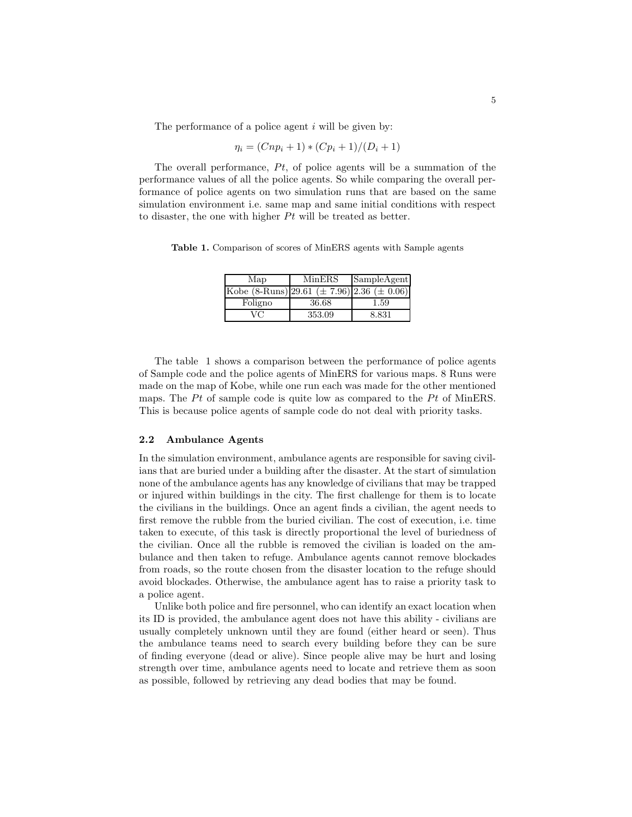The performance of a police agent  $i$  will be given by:

$$
\eta_i = (Cnp_i + 1) * (Cp_i + 1)/(D_i + 1)
$$

The overall performance,  $Pt$ , of police agents will be a summation of the performance values of all the police agents. So while comparing the overall performance of police agents on two simulation runs that are based on the same simulation environment i.e. same map and same initial conditions with respect to disaster, the one with higher  $Pt$  will be treated as better.

Table 1. Comparison of scores of MinERS agents with Sample agents

| Map                                                           | MinERS | SampleAgent |
|---------------------------------------------------------------|--------|-------------|
| Kobe $(8\text{-Runs})$ 29.61 ( $\pm$ 7.96) 2.36 ( $\pm$ 0.06) |        |             |
| Foligno                                                       | 36.68  | $1.59\,$    |
| VC                                                            | 353.09 | 8.831       |

The table 1 shows a comparison between the performance of police agents of Sample code and the police agents of MinERS for various maps. 8 Runs were made on the map of Kobe, while one run each was made for the other mentioned maps. The Pt of sample code is quite low as compared to the Pt of MinERS. This is because police agents of sample code do not deal with priority tasks.

#### 2.2 Ambulance Agents

In the simulation environment, ambulance agents are responsible for saving civilians that are buried under a building after the disaster. At the start of simulation none of the ambulance agents has any knowledge of civilians that may be trapped or injured within buildings in the city. The first challenge for them is to locate the civilians in the buildings. Once an agent finds a civilian, the agent needs to first remove the rubble from the buried civilian. The cost of execution, i.e. time taken to execute, of this task is directly proportional the level of buriedness of the civilian. Once all the rubble is removed the civilian is loaded on the ambulance and then taken to refuge. Ambulance agents cannot remove blockades from roads, so the route chosen from the disaster location to the refuge should avoid blockades. Otherwise, the ambulance agent has to raise a priority task to a police agent.

Unlike both police and fire personnel, who can identify an exact location when its ID is provided, the ambulance agent does not have this ability - civilians are usually completely unknown until they are found (either heard or seen). Thus the ambulance teams need to search every building before they can be sure of finding everyone (dead or alive). Since people alive may be hurt and losing strength over time, ambulance agents need to locate and retrieve them as soon as possible, followed by retrieving any dead bodies that may be found.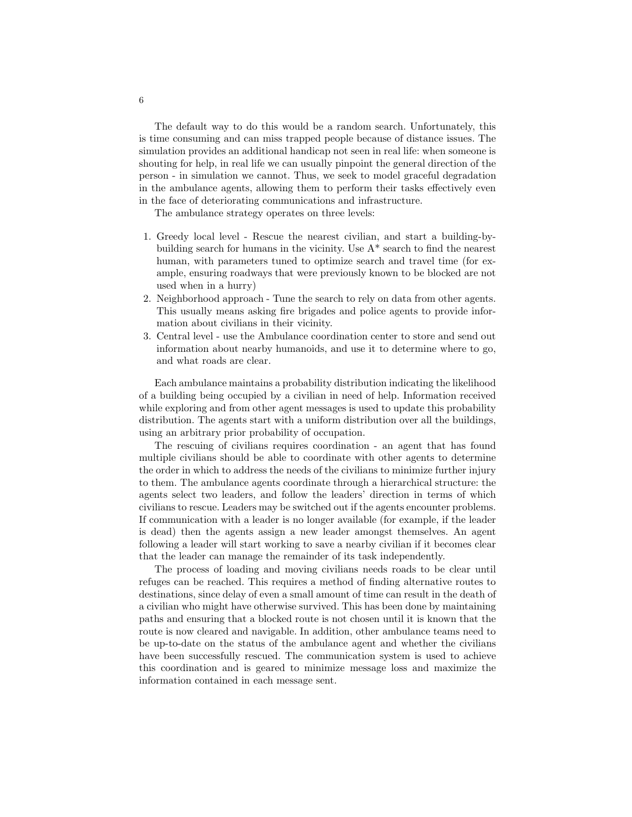The default way to do this would be a random search. Unfortunately, this is time consuming and can miss trapped people because of distance issues. The simulation provides an additional handicap not seen in real life: when someone is shouting for help, in real life we can usually pinpoint the general direction of the person - in simulation we cannot. Thus, we seek to model graceful degradation in the ambulance agents, allowing them to perform their tasks effectively even in the face of deteriorating communications and infrastructure.

The ambulance strategy operates on three levels:

- 1. Greedy local level Rescue the nearest civilian, and start a building-bybuilding search for humans in the vicinity. Use A\* search to find the nearest human, with parameters tuned to optimize search and travel time (for example, ensuring roadways that were previously known to be blocked are not used when in a hurry)
- 2. Neighborhood approach Tune the search to rely on data from other agents. This usually means asking fire brigades and police agents to provide information about civilians in their vicinity.
- 3. Central level use the Ambulance coordination center to store and send out information about nearby humanoids, and use it to determine where to go, and what roads are clear.

Each ambulance maintains a probability distribution indicating the likelihood of a building being occupied by a civilian in need of help. Information received while exploring and from other agent messages is used to update this probability distribution. The agents start with a uniform distribution over all the buildings, using an arbitrary prior probability of occupation.

The rescuing of civilians requires coordination - an agent that has found multiple civilians should be able to coordinate with other agents to determine the order in which to address the needs of the civilians to minimize further injury to them. The ambulance agents coordinate through a hierarchical structure: the agents select two leaders, and follow the leaders' direction in terms of which civilians to rescue. Leaders may be switched out if the agents encounter problems. If communication with a leader is no longer available (for example, if the leader is dead) then the agents assign a new leader amongst themselves. An agent following a leader will start working to save a nearby civilian if it becomes clear that the leader can manage the remainder of its task independently.

The process of loading and moving civilians needs roads to be clear until refuges can be reached. This requires a method of finding alternative routes to destinations, since delay of even a small amount of time can result in the death of a civilian who might have otherwise survived. This has been done by maintaining paths and ensuring that a blocked route is not chosen until it is known that the route is now cleared and navigable. In addition, other ambulance teams need to be up-to-date on the status of the ambulance agent and whether the civilians have been successfully rescued. The communication system is used to achieve this coordination and is geared to minimize message loss and maximize the information contained in each message sent.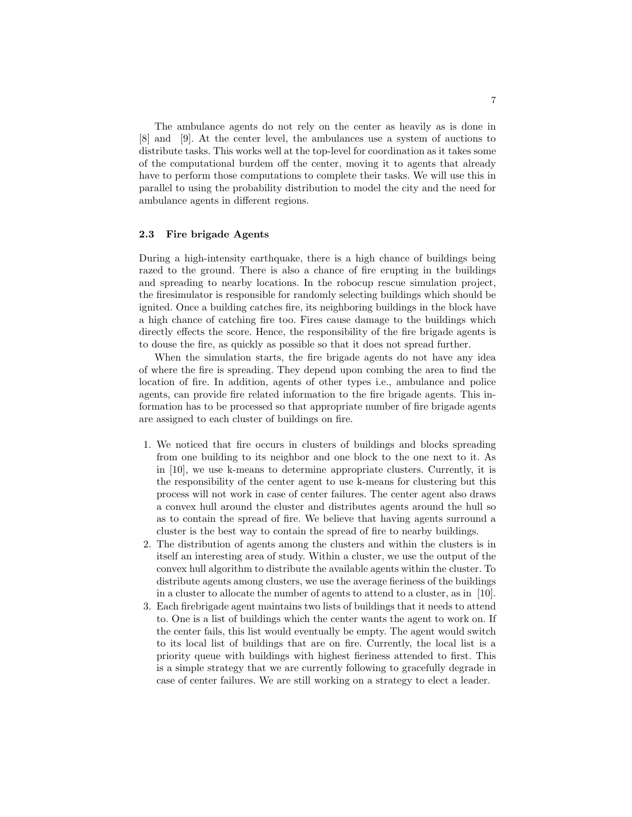The ambulance agents do not rely on the center as heavily as is done in [8] and [9]. At the center level, the ambulances use a system of auctions to distribute tasks. This works well at the top-level for coordination as it takes some of the computational burdem off the center, moving it to agents that already have to perform those computations to complete their tasks. We will use this in parallel to using the probability distribution to model the city and the need for ambulance agents in different regions.

#### 2.3 Fire brigade Agents

During a high-intensity earthquake, there is a high chance of buildings being razed to the ground. There is also a chance of fire erupting in the buildings and spreading to nearby locations. In the robocup rescue simulation project, the firesimulator is responsible for randomly selecting buildings which should be ignited. Once a building catches fire, its neighboring buildings in the block have a high chance of catching fire too. Fires cause damage to the buildings which directly effects the score. Hence, the responsibility of the fire brigade agents is to douse the fire, as quickly as possible so that it does not spread further.

When the simulation starts, the fire brigade agents do not have any idea of where the fire is spreading. They depend upon combing the area to find the location of fire. In addition, agents of other types i.e., ambulance and police agents, can provide fire related information to the fire brigade agents. This information has to be processed so that appropriate number of fire brigade agents are assigned to each cluster of buildings on fire.

- 1. We noticed that fire occurs in clusters of buildings and blocks spreading from one building to its neighbor and one block to the one next to it. As in [10], we use k-means to determine appropriate clusters. Currently, it is the responsibility of the center agent to use k-means for clustering but this process will not work in case of center failures. The center agent also draws a convex hull around the cluster and distributes agents around the hull so as to contain the spread of fire. We believe that having agents surround a cluster is the best way to contain the spread of fire to nearby buildings.
- 2. The distribution of agents among the clusters and within the clusters is in itself an interesting area of study. Within a cluster, we use the output of the convex hull algorithm to distribute the available agents within the cluster. To distribute agents among clusters, we use the average fieriness of the buildings in a cluster to allocate the number of agents to attend to a cluster, as in [10].
- 3. Each firebrigade agent maintains two lists of buildings that it needs to attend to. One is a list of buildings which the center wants the agent to work on. If the center fails, this list would eventually be empty. The agent would switch to its local list of buildings that are on fire. Currently, the local list is a priority queue with buildings with highest fieriness attended to first. This is a simple strategy that we are currently following to gracefully degrade in case of center failures. We are still working on a strategy to elect a leader.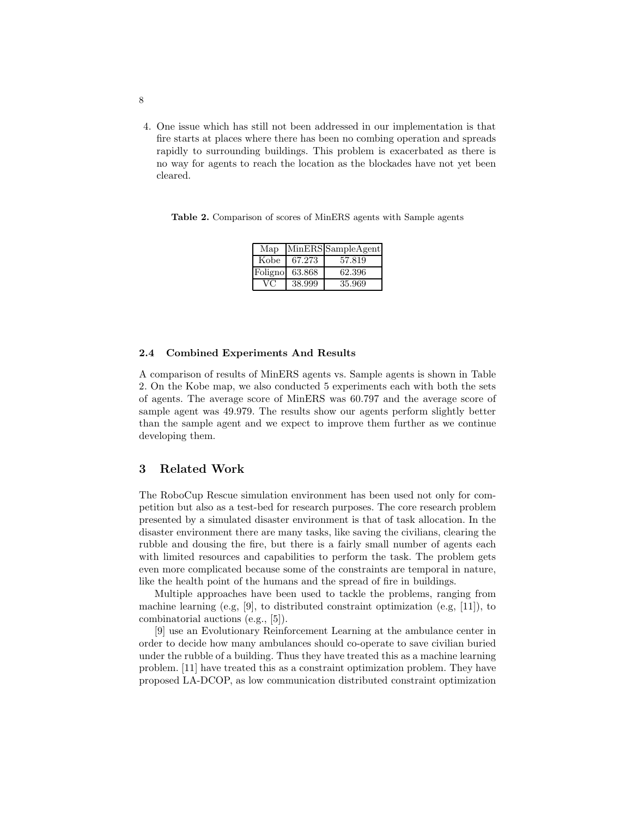4. One issue which has still not been addressed in our implementation is that fire starts at places where there has been no combing operation and spreads rapidly to surrounding buildings. This problem is exacerbated as there is no way for agents to reach the location as the blockades have not yet been cleared.

Table 2. Comparison of scores of MinERS agents with Sample agents

| Map     |        | MinERS SampleAgent |
|---------|--------|--------------------|
| Kobe    | 67.273 | 57.819             |
| Foligno | 63.868 | 62.396             |
| VC      | 38.999 | 35.969             |

#### 2.4 Combined Experiments And Results

A comparison of results of MinERS agents vs. Sample agents is shown in Table 2. On the Kobe map, we also conducted 5 experiments each with both the sets of agents. The average score of MinERS was 60.797 and the average score of sample agent was 49.979. The results show our agents perform slightly better than the sample agent and we expect to improve them further as we continue developing them.

### 3 Related Work

The RoboCup Rescue simulation environment has been used not only for competition but also as a test-bed for research purposes. The core research problem presented by a simulated disaster environment is that of task allocation. In the disaster environment there are many tasks, like saving the civilians, clearing the rubble and dousing the fire, but there is a fairly small number of agents each with limited resources and capabilities to perform the task. The problem gets even more complicated because some of the constraints are temporal in nature, like the health point of the humans and the spread of fire in buildings.

Multiple approaches have been used to tackle the problems, ranging from machine learning (e.g, [9], to distributed constraint optimization (e.g, [11]), to combinatorial auctions (e.g., [5]).

[9] use an Evolutionary Reinforcement Learning at the ambulance center in order to decide how many ambulances should co-operate to save civilian buried under the rubble of a building. Thus they have treated this as a machine learning problem. [11] have treated this as a constraint optimization problem. They have proposed LA-DCOP, as low communication distributed constraint optimization

8